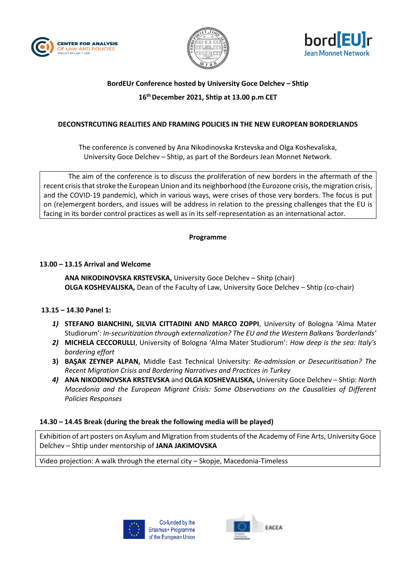





# **BordEUr Conference hosted by University Goce Delchev – Shtip**

# **16th December 2021, Shtip at 13.00 p.m CET**

### **DECONSTRCUTING REALITIES AND FRAMING POLICIES IN THE NEW EUROPEAN BORDERLANDS**

The conference is convened by Ana Nikodinovska Krstevska and Olga Koshevaliska, University Goce Delchev – Shtip, as part of the Bordeurs Jean Monnet Network.

The aim of the conference is to discuss the proliferation of new borders in the aftermath of the recent crisis that stroke the European Union and its neighborhood (the Eurozone crisis, the migration crisis, and the COVID-19 pandemic), which in various ways, were crises of those very borders. The focus is put on (re)emergent borders, and issues will be address in relation to the pressing challenges that the EU is facing in its border control practices as well as in its self-representation as an international actor.

#### **Programme**

#### **13.00 – 13.15 Arrival and Welcome**

**ANA NIKODINOVSKA KRSTEVSKA,** University Goce Delchev – Shitp (chair) **OLGA KOSHEVALISKA,** Dean of the Faculty of Law, University Goce Delchev – Shtip (co-chair)

## **13.15 – 14.30 Panel 1:**

- *1)* **STEFANO BIANCHINI, SILVIA CITTADINI AND MARCO ZOPPI**, University of Bologna 'Alma Mater Studiorum': *In-securitization through externalization? The EU and the Western Balkans 'borderlands'*
- *2)* **MICHELA CECCORULLI**, University of Bologna 'Alma Mater Studiorum': *How deep is the sea: Italy's bordering effort*
- **3) BAŞAK ZEYNEP ALPAN,** Middle East Technical University: *Re-admission or Desecuritisation? The Recent Migration Crisis and Bordering Narratives and Practices in Turkey*
- *4)* **ANA NIKODINOVSKA KRSTEVSKA** and **OLGA KOSHEVALISKA,** University Goce Delchev Shtip: *North Macedonia and the European Migrant Crisis: Some Observations on the Causalities of Different Policies Responses*

#### **14.30 – 14.45 Break (during the break the following media will be played)**

Exhibition of art posters on Asylum and Migration from students of the Academy of Fine Arts, University Goce Delchev – Shtip under mentorship of **JANA JAKIMOVSKA**

Video projection: A walk through the eternal city – Skopje, Macedonia-Timeless